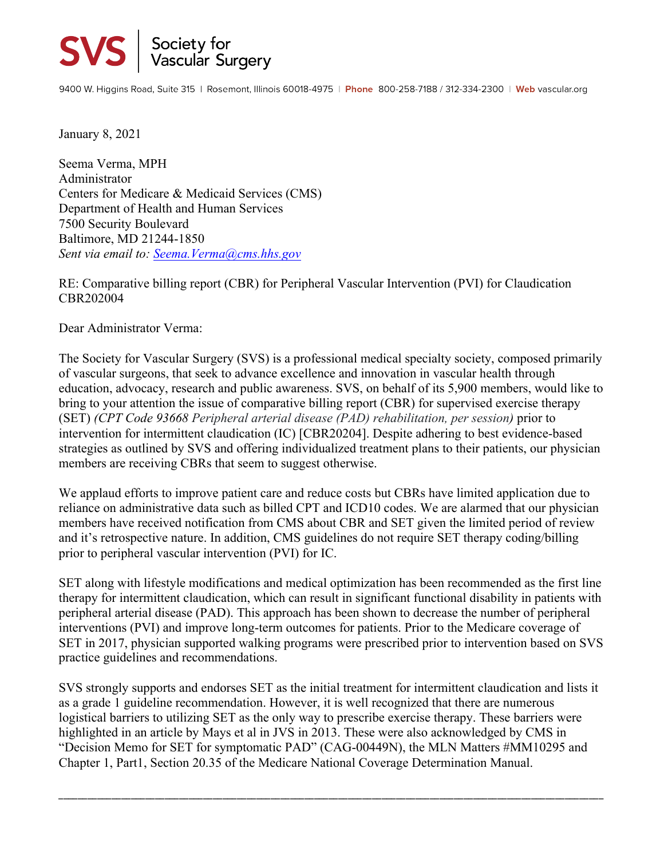## Society for<br>Vascular Surgery **SVS**

9400 W. Higgins Road, Suite 315 | Rosemont, Illinois 60018-4975 | Phone 800-258-7188 / 312-334-2300 | Web vascular.org

January 8, 2021

Seema Verma, MPH Administrator Centers for Medicare & Medicaid Services (CMS) Department of Health and Human Services 7500 Security Boulevard Baltimore, MD 21244-1850 *Sent via email to: Seema.Verma@cms.hhs.gov* 

RE: Comparative billing report (CBR) for Peripheral Vascular Intervention (PVI) for Claudication CBR202004

Dear Administrator Verma:

The Society for Vascular Surgery (SVS) is a professional medical specialty society, composed primarily of vascular surgeons, that seek to advance excellence and innovation in vascular health through education, advocacy, research and public awareness. SVS, on behalf of its 5,900 members, would like to bring to your attention the issue of comparative billing report (CBR) for supervised exercise therapy (SET) *(CPT Code 93668 Peripheral arterial disease (PAD) rehabilitation, per session)* prior to intervention for intermittent claudication (IC) [CBR20204]. Despite adhering to best evidence-based strategies as outlined by SVS and offering individualized treatment plans to their patients, our physician members are receiving CBRs that seem to suggest otherwise.

We applaud efforts to improve patient care and reduce costs but CBRs have limited application due to reliance on administrative data such as billed CPT and ICD10 codes. We are alarmed that our physician members have received notification from CMS about CBR and SET given the limited period of review and it's retrospective nature. In addition, CMS guidelines do not require SET therapy coding/billing prior to peripheral vascular intervention (PVI) for IC.

SET along with lifestyle modifications and medical optimization has been recommended as the first line therapy for intermittent claudication, which can result in significant functional disability in patients with peripheral arterial disease (PAD). This approach has been shown to decrease the number of peripheral interventions (PVI) and improve long-term outcomes for patients. Prior to the Medicare coverage of SET in 2017, physician supported walking programs were prescribed prior to intervention based on SVS practice guidelines and recommendations.

SVS strongly supports and endorses SET as the initial treatment for intermittent claudication and lists it as a grade 1 guideline recommendation. However, it is well recognized that there are numerous logistical barriers to utilizing SET as the only way to prescribe exercise therapy. These barriers were highlighted in an article by Mays et al in JVS in 2013. These were also acknowledged by CMS in "Decision Memo for SET for symptomatic PAD" (CAG-00449N), the MLN Matters #MM10295 and Chapter 1, Part1, Section 20.35 of the Medicare National Coverage Determination Manual.

\_\_\_\_\_\_\_\_\_\_\_\_\_\_\_\_\_\_\_\_\_\_\_\_\_\_\_\_\_\_\_\_\_\_\_\_\_\_\_\_\_\_\_\_\_\_\_\_\_\_\_\_\_\_\_\_\_\_\_\_\_\_\_\_\_\_\_\_\_\_\_\_\_\_\_\_\_\_\_\_\_\_\_\_\_\_\_\_\_\_\_\_\_\_\_\_\_\_\_\_\_\_\_\_\_\_\_\_\_\_\_\_\_